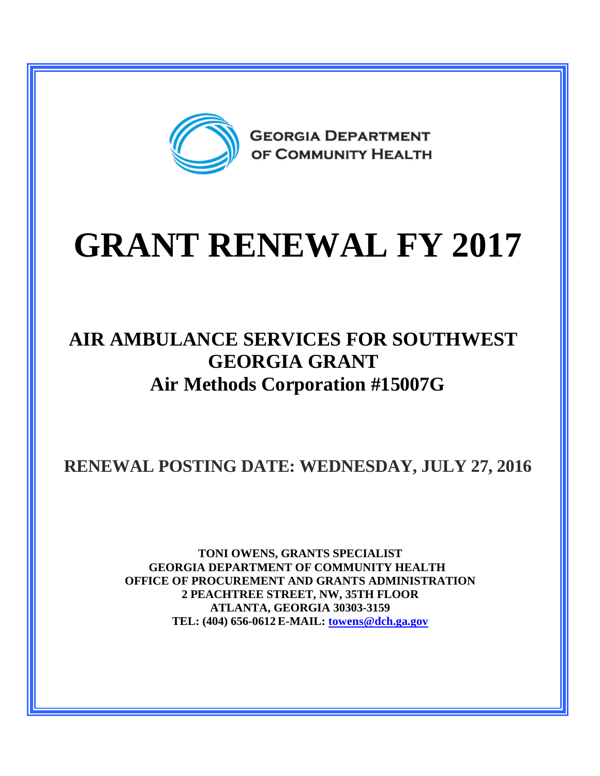

# **GRANT RENEWAL FY 2017**

## **AIR AMBULANCE SERVICES FOR SOUTHWEST GEORGIA GRANT Air Methods Corporation #15007G**

**RENEWAL POSTING DATE: WEDNESDAY, JULY 27, 2016**

**TONI OWENS, GRANTS SPECIALIST GEORGIA DEPARTMENT OF COMMUNITY HEALTH OFFICE OF PROCUREMENT AND GRANTS ADMINISTRATION 2 PEACHTREE STREET, NW, 35TH FLOOR ATLANTA, GEORGIA 30303-3159 TEL: (404) 656-0612 E-MAIL: [towens@dch.ga.gov](mailto:towens@dch.ga.gov)**